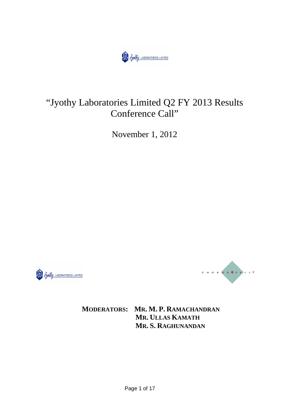

# "Jyothy Laboratories Limited Q2 FY 2013 Results Conference Call"

November 1, 2012





**MODERATORS: MR. M. P. RAMACHANDRAN MR. ULLAS KAMATH MR. S. RAGHUNANDAN**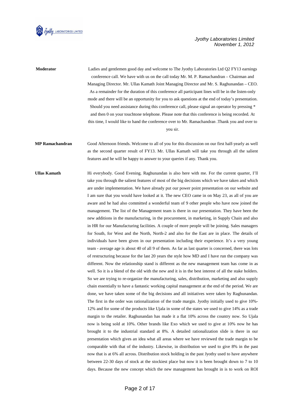

| Moderator              | Ladies and gentlemen good day and welcome to The Jyothy Laboratories Ltd Q2 FY13 earnings<br>conference call. We have with us on the call today Mr. M. P. Ramachandran – Chairman and            |
|------------------------|--------------------------------------------------------------------------------------------------------------------------------------------------------------------------------------------------|
|                        | Managing Director. Mr. Ullas Kamath Joint Managing Director and Mr. S. Raghunandan - CEO.<br>As a remainder for the duration of this conference all participant lines will be in the listen-only |
|                        | mode and there will be an opportunity for you to ask questions at the end of today's presentation.                                                                                               |
|                        | Should you need assistance during this conference call, please signal an operator by pressing *                                                                                                  |
|                        | and then 0 on your touchtone telephone. Please note that this conference is being recorded. At                                                                                                   |
|                        | this time, I would like to hand the conference over to Mr. Ramachandran .Thank you and over to                                                                                                   |
|                        | you sir.                                                                                                                                                                                         |
| <b>MP Ramachandran</b> | Good Afternoon friends. Welcome to all of you for this discussion on our first half-yearly as well                                                                                               |
|                        | as the second quarter result of FY13. Mr. Ullas Kamath will take you through all the salient                                                                                                     |
|                        | features and he will be happy to answer to your queries if any. Thank you.                                                                                                                       |
| Ullas Kamath           | Hi everybody. Good Evening. Raghunandan is also here with me. For the current quarter, I'll                                                                                                      |
|                        | take you through the salient features of most of the big decisions which we have taken and which                                                                                                 |
|                        | are under implementation. We have already put our power point presentation on our website and                                                                                                    |
|                        | I am sure that you would have looked at it. The new CEO came in on May 23, as all of you are                                                                                                     |
|                        | aware and he had also committed a wonderful team of 9 other people who have now joined the                                                                                                       |
|                        | management. The list of the Management team is there in our presentation. They have been the                                                                                                     |
|                        | new additions in the manufacturing, in the procurement, in marketing, in Supply Chain and also                                                                                                   |
|                        | in HR for our Manufacturing facilities. A couple of more people will be joining. Sales managers                                                                                                  |
|                        | for South, for West and the North, North-2 and also for the East are in place. The details of                                                                                                    |
|                        | individuals have been given in our presentation including their experience. It's a very young                                                                                                    |
|                        | team - average age is about 40 of all 9 of them. As far as last quarter is concerned, there was lots                                                                                             |
|                        | of restructuring because for the last 20 years the style how MD and I have run the company was                                                                                                   |
|                        | different. Now the relationship stand is different as the new management team has come in as                                                                                                     |
|                        | well. So it is a blend of the old with the new and it is in the best interest of all the stake holders.                                                                                          |
|                        | So we are trying to re-organize the manufacturing, sales, distribution, marketing and also supply                                                                                                |
|                        | chain essentially to have a fantastic working capital management at the end of the period. We are                                                                                                |
|                        | done, we have taken some of the big decisions and all initiatives were taken by Raghunandan.                                                                                                     |
|                        | The first in the order was rationalization of the trade margin. Jyothy initially used to give 10%-                                                                                               |
|                        | 12% and for some of the products like Ujala in some of the states we used to give 14% as a trade                                                                                                 |
|                        | margin to the retailer. Raghunandan has made it a flat 10% across the country now. So Ujala                                                                                                      |
|                        | now is being sold at 10%. Other brands like Exo which we used to give at 10% now he has                                                                                                          |
|                        | brought it to the industrial standard at 8%. A detailed rationalization slide is there in our                                                                                                    |
|                        | presentation which gives an idea what all areas where we have reviewed the trade margin to be                                                                                                    |
|                        | comparable with that of the industry. Likewise, in distribution we used to give 8% in the past                                                                                                   |
|                        | now that is at 6% all across. Distribution stock holding in the past Jyothy used to have anywhere                                                                                                |
|                        | between 22-30 days of stock at the stockiest place but now it is been brought down to 7 to 10                                                                                                    |
|                        | days. Because the new concept which the new management has brought in is to work on ROI                                                                                                          |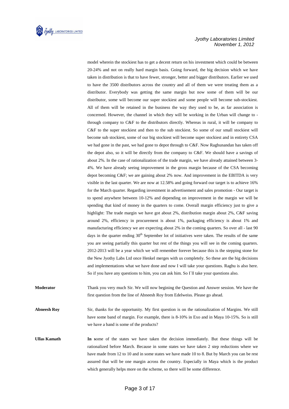

model wherein the stockiest has to get a decent return on his investment which could be between 20-24% and not on really hard margin basis. Going forward, the big decision which we have taken in distribution is that to have fewer, stronger, better and bigger distributors. Earlier we used to have the 3500 distributors across the country and all of them we were treating them as a distributor. Everybody was getting the same margin but now some of them will be our distributor, some will become our super stockiest and some people will become sub-stockiest. All of them will be retained in the business the way they used to be, as far association is concerned. However, the channel in which they will be working in the Urban will change to through company to C&F to the distributors directly. Whereas in rural, it will be company to C&F to the super stockiest and then to the sub stockiest. So some of our small stockiest will become sub stockiest, some of our big stockiest will become super stockiest and in entirety CSA we had gone in the past, we had gone to depot through to C&F. Now Raghunandan has taken off the depot also, so it will be directly from the company to C&F. We should have a savings of about 2%. In the case of rationalization of the trade margin, we have already attained between 3- 4%. We have already seeing improvement in the gross margin because of the CSA becoming depot becoming C&F; we are gaining about 2% now. And improvement in the EBITDA is very visible in the last quarter. We are now at 12.58% and going forward our target is to achieve 16% for the March quarter. Regarding investment in advertisement and sales promotion - Our target is to spend anywhere between 10-12% and depending on improvement in the margin we will be spending that kind of money in the quarters to come. Overall margin efficiency just to give a highlight: The trade margin we have got about 2%, distribution margin about 2%, C&F saving around 2%, efficiency in procurement is about 1%, packaging efficiency is about 1% and manufacturing efficiency we are expecting about 2% in the coming quarters. So over all - last 90 days in the quarter ending  $30<sup>th</sup>$  September lot of initiatives were taken. The results of the same you are seeing partially this quarter but rest of the things you will see in the coming quarters. 2012-2013 will be a year which we will remember forever because this is the stepping stone for the New Jyothy Labs Ltd once Henkel merges with us completely. So these are the big decisions and implementations what we have done and now I will take your questions. Raghu is also here. So if you have any questions to him, you can ask him. So I`ll take your questions also.

**Moderator** Thank you very much Sir. We will now begining the Question and Answer session. We have the first question from the line of Abneesh Roy from Edelweiss. Please go ahead.

**Abneesh Roy** Sir, thanks for the opportunity. My first question is on the rationalization of Margins. We still have some band of margin. For example, there is 8-10% in Exo and in Maya 10-15%. So is still we have a band is some of the products?

**Ullas Kamath In s**ome of the states we have taken the decision immediately. But these things will be rationalized before March. Because in some states we have taken 2 step reductions where we have made from 12 to 10 and in some states we have made 10 to 8. But by March you can be rest assured that will be one margin across the country. Especially in Maya which is the product which generally helps more on the scheme, so there will be some difference.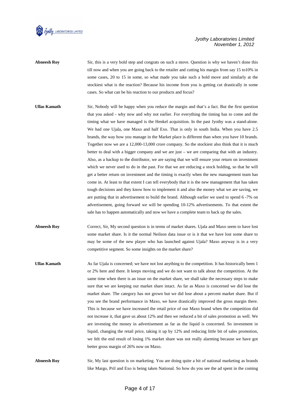

**Abneesh Roy** Sir, this is a very bold step and congrats on such a move. Question is why we haven't done this till now and when you are going back to the retailer and cutting his margin from say 15 to10% in some cases, 20 to 15 in some, so what made you take such a bold move and similarly at the stockiest what is the reaction? Because his income from you is getting cut drastically in some cases. So what can be his reaction to our products and focus?

- **Ullas Kamath** Sir, Nobody will be happy when you reduce the margin and that's a fact. But the first question that you asked - why now and why not earlier. For everything the timing has to come and the timing what we have managed is the Henkel acquisition. In the past Jyothy was a stand-alone. We had one Ujala, one Maxo and half Exo. That is only in south India. When you have 2.5 brands, the way how you manage in the Market place is different than when you have 10 brands. Together now we are a 12,000-13,000 crore company. So the stockiest also think that it is much better to deal with a bigger company and we are just – we are comparing that with an industry. Also, as a backup to the distributor, we are saying that we will ensure your return on investment which we never used to do in the past. For that we are reducing a stock holding, so that he will get a better return on investment and the timing is exactly when the new management team has come in. At least to that extent I can tell everybody that it is the new management that has taken tough decisions and they know how to implement it and also the money what we are saving, we are putting that in advertisement to build the brand. Although earlier we used to spend 6 -7% on advertisement, going forward we will be spending 10-12% advertisements. To that extent the sale has to happen automatically and now we have a complete team to back up the sales.
- **Abneesh Roy Correct, Sir, My second question is in terms of market shares. Ujala and Maxo seem to have lost** some market share. Is it the normal Neilson data issue or is it that we have lost some share to may be some of the new player who has launched against Ujala? Maxo anyway is in a very competitive segment. So some insights on the market share?
- **Ullas Kamath** As far Ujala is concerned; we have not lost anything to the competition. It has historically been 1 or 2% here and there. It keeps moving and we do not want to talk about the competition. At the same time when there is an issue on the market share, we shall take the necessary steps to make sure that we are keeping our market share intact. As far as Maxo is concerned we did lose the market share. The category has not grown but we did lose about a percent market share. But if you see the brand performance in Maxo, we have drastically improved the gross margin there. This is because we have increased the retail price of our Maxo brand when the competition did not increase it, that gave us about 12% and then we reduced a bit of sales promotion as well. We are investing the money in advertisement as far as the liquid is concerned. So investment in liquid, changing the retail price, taking it up by 12% and reducing little bit of sales promotion, we felt the end result of losing 1% market share was not really alarming because we have got better gross margin of 26% now on Maxo.
- **Abneesh Roy** Sir, My last question is on marketing. You are doing quite a bit of national marketing as brands like Margo, Pril and Exo is being taken National. So how do you see the ad spent in the coming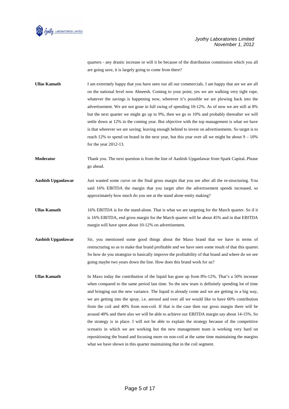

quarters - any drastic increase or will it be because of the distribution commission which you all are going save, it is largely going to come from there?

**Ullas Kamath** I am extremely happy that you have seen our all our commercials. I am happy that are we are all on the national level now Abneesh. Coming to your point, yes we are walking very tight rope, whatever the savings is happening now, wherever it's possible we are plowing back into the advertisement. We are not gone in full swing of spending 10-12%. As of now we are still at 8% but the next quarter we might go up to 9%, then we go to 10% and probably thereafter we will settle down at 12% in the coming year. But objective with the top management is what we have is that wherever we are saving; leaving enough behind to invest on advertisements. So target is to reach 12% to spend on brand in the next year, but this year over all we might be about  $9 - 10\%$ for the year 2012-13.

**Moderator** Thank you. The next question is from the line of Aashish Upganlawar from Spark Capital**.** Please go ahead.

**Aashish Upganlawar** Just wanted some curve on the final gross margin that you see after all the re-structuring. You said 16% EBITDA the margin that you target after the advertisement spends increased, so approximately how much do you see at the stand alone entity making?

**Ullas Kamath** 16% EBITDA is for the stand-alone. That is what we are targeting for the March quarter. So if it is 16% EBITDA, end gross margin for the March quarter will be about 45% and in that EBITDA margin will have spent about 10-12% on advertisement.

- **Aashish Upganlawar** Sir, you mentioned some good things about the Maxo brand that we have in terms of restructuring so as to make that brand profitable and we have seen some result of that this quarter. So how do you strategize to basically improve the profitability of that brand and where do we see going maybe two years down the line. How does this brand work for us?
- **Ullas Kamath** In Maxo today the contribution of the liquid has gone up from 8%-12%. That's a 50% increase when compared to the same period last time. So the new team is definitely spending lot of time and bringing out the new variance. The liquid is already come and we are getting in a big way, we are getting into the spray. i.e. aerosol and over all we would like to have 60% contribution from the coil and 40% from non-coil. If that is the case then our gross margin there will be around 40% and there also we will be able to achieve our EBITDA margin say about 14-15%. So the strategy is in place. I will not be able to explain the strategy because of the competitive scenario in which we are working but the new management team is working very hard on repositioning the brand and focusing more on non-coil at the same time maintaining the margins what we have shown in this quarter maintaining that in the coil segment.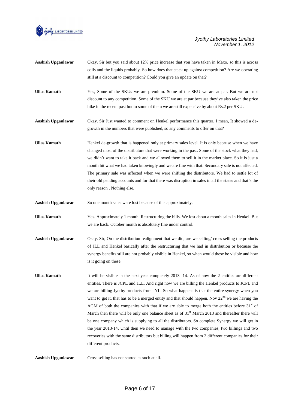

| Aashish Upganlawar | Okay. Sir but you said about 12% price increase that you have taken in Maxo, so this is across  |
|--------------------|-------------------------------------------------------------------------------------------------|
|                    | coils and the liquids probably. So how does that stack up against competition? Are we operating |
|                    | still at a discount to competition? Could you give an update on that?                           |
|                    |                                                                                                 |
| Ullas Kamath       | Yes, Some of the SKUs we are premium. Some of the SKU we are at par. But we are not             |

- discount to any competition. Some of the SKU we are at par because they've also taken the price hike in the recent past but to some of them we are still expensive by about Rs.2 per SKU**.**
- **Aashish Upganlawar** Okay. Sir Just wanted to comment on Henkel performance this quarter. I mean, It showed a degrowth in the numbers that were published, so any comments to offer on that?
- **Ullas Kamath Henkel de-growth that is happened only at primary sales level. It is only because when we have** changed most of the distributors that were working in the past. Some of the stock what they had, we didn't want to take it back and we allowed them to sell it in the market place. So it is just a month hit what we had taken knowingly and we are fine with that. Secondary sale is not affected. The primary sale was affected when we were shifting the distributors. We had to settle lot of their old pending accounts and for that there was disruption in sales in all the states and that's the only reason . Nothing else.
- **Aashish Upganlawar** So one month sales were lost because of this approximately.
- **Ullas Kamath** Yes. Approximately 1 month. Restructuring the bills. We lost about a month sales in Henkel. But we are back. October month is absolutely fine under control.
- **Aashish Upganlawar** Okay. Sir, On the distribution realignment that we did, are we selling/ cross selling the products of JLL and Henkel basically after the restructuring that we had in distribution or because the synergy benefits still are not probably visible in Henkel, so when would these be visible and how is it going on these.
- **Ullas Kamath** It will be visible in the next year completely 2013- 14. As of now the 2 entities are different entities. There is JCPL and JLL. And right now we are billing the Henkel products to JCPL and we are billing Jyothy products from JYL. So what happens is that the entire synergy when you want to get it, that has to be a merged entity and that should happen. Nov  $22<sup>nd</sup>$  we are having the AGM of both the companies with that if we are able to merge both the entities before  $31<sup>st</sup>$  of March then there will be only one balance sheet as of  $31<sup>st</sup>$  March 2013 and thereafter there will be one company which is supplying to all the distributors. So complete Synergy we will get in the year 2013-14. Until then we need to manage with the two companies, two billings and two recoveries with the same distributors but billing will happen from 2 different companies for their different products.

**Aashish Upganlawar** Cross selling has not started as such at all.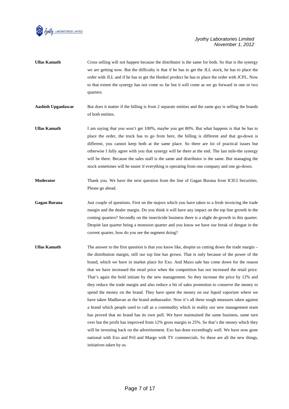

**Ullas Kamath** Cross selling will not happen because the distributor is the same for both. So that is the synergy we are getting now. But the difficulty is that if he has to get the JLL stock, he has to place the order with JLL and if he has to get the Henkel product he has to place the order with JCPL. Now to that extent the synergy has not come so far but it will come as we go forward in one or two quarters.

**Aashish Upganlawar** But does it matter if the billing is from 2 separate entities and the same guy is selling the brands of both entities.

- **Ullas Kamath** I am saying that you won't get 100%, maybe you get 80%. But what happens is that he has to place the order, the truck has to go from here, the billing is different and that go-down is different, you cannot keep both at the same place. So there are lot of practical issues but otherwise I fully agree with you that synergy will be there at the end. The last mile-the synergy will be there. Because the sales staff is the same and distributor is the same. But managing the stock sometimes will be easier if everything is operating from one company and one go-down.
- **Moderator Thank you. We have the next question from the line of Gagan Burana from ICICI Securities.** Please go ahead.
- **Gagan Burana** Just couple of questions. First on the majors which you have taken to a fresh invoicing the trade margin and the dealer margin. Do you think it will have any impact on the top line growth in the coming quarters? Secondly on the insecticide business there is a slight de-growth in this quarter. Despite last quarter being a monsoon quarter and you know we have our break of dengue in the current quarter, how do you see the segment doing?
- Ullas Kamath The answer to the first question is that you know like, despite us cutting down the trade margin the distribution margin, still our top line has grown. That is only because of the power of the brand, which we have in market place for Exo. And Maxo sale has come down for the reason that we have increased the retail price when the competition has not increased the retail price. That's again the bold initiate by the new management. So they increase the price by 12% and they reduce the trade margin and also reduce a bit of sales promotion to conserve the money to spend the money on the brand. They have spent the money on our liquid vaporizer where we have taken Madhavan as the brand ambassador. Now it's all these tough measures taken against a brand which people used to call as a commodity which in reality our new management team has proved that no brand has its own pull. We have maintained the same business, same turn over but the profit has improved from 12% gross margin to 25%. So that's the money which they will be investing back on the advertisement. Exo has done exceedingly well. We have now gone national with Exo and Pril and Margo with TV commercials. So these are all the new things, initiatives taken by us.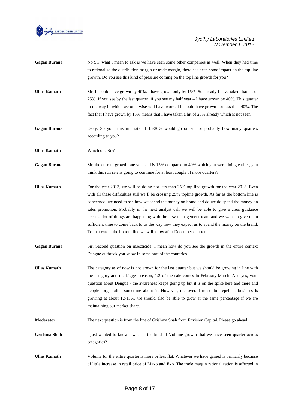

|                     | to rationalize the distribution margin or trade margin, there has been some impact on the top line<br>growth. Do you see this kind of pressure coming on the top line growth for you?                                                                                                                                                                                                                                                                                                                                                                                                                                                                                   |
|---------------------|-------------------------------------------------------------------------------------------------------------------------------------------------------------------------------------------------------------------------------------------------------------------------------------------------------------------------------------------------------------------------------------------------------------------------------------------------------------------------------------------------------------------------------------------------------------------------------------------------------------------------------------------------------------------------|
| <b>Ullas Kamath</b> | Sir, I should have grown by 40%. I have grown only by 15%. So already I have taken that hit of<br>25%. If you see by the last quarter, if you see my half year $-1$ have grown by 40%. This quarter<br>in the way in which we otherwise will have worked I should have grown not less than 40%. The<br>fact that I have grown by 15% means that I have taken a hit of 25% already which is not seen.                                                                                                                                                                                                                                                                    |
| <b>Gagan Burana</b> | Okay. So your this run rate of 15-20% would go on sir for probably how many quarters<br>according to you?                                                                                                                                                                                                                                                                                                                                                                                                                                                                                                                                                               |
| <b>Ullas Kamath</b> | Which one Sir?                                                                                                                                                                                                                                                                                                                                                                                                                                                                                                                                                                                                                                                          |
| <b>Gagan Burana</b> | Sir, the current growth rate you said is 15% compared to 40% which you were doing earlier, you<br>think this run rate is going to continue for at least couple of more quarters?                                                                                                                                                                                                                                                                                                                                                                                                                                                                                        |
| <b>Ullas Kamath</b> | For the year 2013, we will be doing not less than 25% top line growth for the year 2013. Even<br>with all these difficulties still we'll be crossing 25% topline growth. As far as the bottom line is<br>concerned, we need to see how we spend the money on brand and do we do spend the money on<br>sales promotion. Probably in the next analyst call we will be able to give a clear guidance<br>because lot of things are happening with the new management team and we want to give them<br>sufficient time to come back to us the way how they expect us to spend the money on the brand.<br>To that extent the bottom line we will know after December quarter. |
| <b>Gagan Burana</b> | Sir, Second question on insecticide. I mean how do you see the growth in the entire context<br>Dengue outbreak you know in some part of the countries.                                                                                                                                                                                                                                                                                                                                                                                                                                                                                                                  |
| <b>Ullas Kamath</b> | The category as of now is not grown for the last quarter but we should be growing in line with<br>the category and the biggest season, 1/3 of the sale comes in February-March. And yes, your<br>question about Dengue - the awareness keeps going up but it is on the spike here and there and<br>people forget after sometime about it. However, the overall mosquito repellent business is<br>growing at about 12-15%, we should also be able to grow at the same percentage if we are<br>maintaining our market share.                                                                                                                                              |
| Moderator           | The next question is from the line of Grishma Shah from Envision Capital. Please go ahead.                                                                                                                                                                                                                                                                                                                                                                                                                                                                                                                                                                              |
| Grishma Shah        | I just wanted to know - what is the kind of Volume growth that we have seen quarter across<br>categories?                                                                                                                                                                                                                                                                                                                                                                                                                                                                                                                                                               |
| <b>Ullas Kamath</b> | Volume for the entire quarter is more or less flat. Whatever we have gained is primarily because                                                                                                                                                                                                                                                                                                                                                                                                                                                                                                                                                                        |

Gagan Burana **No Sir, what I mean to ask is we have seen some other companies as well. When they had time** 

of little increase in retail price of Maxo and Exo. The trade margin rationalization is affected in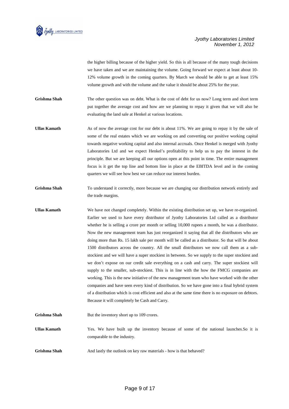

the higher billing because of the higher yield. So this is all because of the many tough decisions we have taken and we are maintaining the volume. Going forward we expect at least about 10- 12% volume growth in the coming quarters. By March we should be able to get at least 15% volume growth and with the volume and the value it should be about 25% for the year.

Grishma Shah The other question was on debt. What is the cost of debt for us now? Long term and short term put together the average cost and how are we planning to repay it given that we will also be evaluating the land sale at Henkel at various locations.

Ullas Kamath **As of now the average cost for our debt is about 11%. We are going to repay it by the sale of** some of the real estates which we are working on and converting our positive working capital towards negative working capital and also internal accruals. Once Henkel is merged with Jyothy Laboratories Ltd and we expect Henkel's profitability to help us to pay the interest in the principle. But we are keeping all our options open at this point in time. The entire management focus is it get the top line and bottom line in place at the EBITDA level and in the coming quarters we will see how best we can reduce our interest burden.

Grishma Shah To understand it correctly, more because we are changing our distribution network entirely and the trade margins.

**Ullas Kamath** We have not changed completely. Within the existing distribution set up, we have re-organized. Earlier we used to have every distributor of Jyothy Laboratories Ltd called as a distributor whether he is selling a crore per month or selling 10,000 rupees a month, he was a distributor. Now the new management team has just reorganized it saying that all the distributors who are doing more than Rs. 15 lakh sale per month will be called as a distributor. So that will be about 1500 distributors across the country. All the small distributors we now call them as a substockiest and we will have a super stockiest in between. So we supply to the super stockiest and we don't expose on our credit sale everything on a cash and carry. The super stockiest will supply to the smaller, sub-stockiest. This is in line with the how the FMCG companies are working. This is the new initiative of the new management team who have worked with the other companies and have seen every kind of distribution. So we have gone into a final hybrid system of a distribution which is cost efficient and also at the same time there is no exposure on debtors. Because it will completely be Cash and Carry.

**Grishma Shah** But the inventory short up to 109 crores.

**Ullas Kamath** Yes. We have built up the inventory because of some of the national launches.So it is comparable to the industry.

Grishma Shah **And lastly the outlook** on key raw materials - how is that behaved?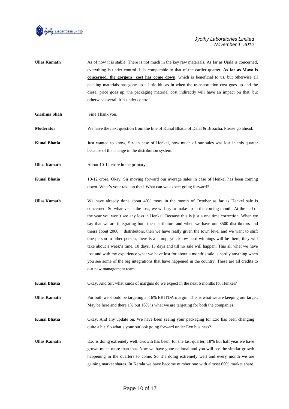

- **Ullas Kamath** As of now it is stable. There is not much in the key raw materials. As far as Ujala is concerned, everything is under control. It is comparable to that of the earlier quarter. **As far as Maxo is concerned, the gorgom cost has come down**, which is beneficial to us, but otherwise all packing materials has gone up a little bit, as in when the transportation cost goes up and the diesel price goes up, the packaging material cost indirectly will have an impact on that, but otherwise overall it is under control.
- **Grishma Shah Fine Thank you.**

**Moderator** We have the next question from the line of Kunal Bhatia of Dalal & Broacha. Please go ahead.

**Kunal Bhatia** Just wanted to know, Sir- in case of Henkel, how much of our sales was lost in this quarter because of the change in the distribution system.

**Ullas Kamath About 10-12 crore in the primary.** 

**Kunal Bhatia** 10-12 crore. Okay. Sir moving forward our average sales in case of Henkel has been coming down. What's your take on that? What can we expect going forward?

**Ullas Kamath** We have already done about 40% more in the month of October as far as Henkel sale is concerned. So whatever is the loss, we will try to make up in the coming month. At the end of the year you won't see any loss in Henkel. Because this is just a one time correction. When we say that we are integrating both the distributors and when we have our 3500 distributors and theirs about 2000 + distributors, then we have really given the town level and we want to shift one person to other person, there is a slump, you know hard winnings will be there, they will take about a week's time, 10 days, 15 days and till no sale will happen. This all what we have lost and with my experience what we have lost for about a month's sale is hardly anything when you see some of the big integrations that have happened in the country. These are all credits to our new management team.

**Kunal Bhatia** Okay. And Sir, what kinds of margins do we expect in the next 6 months for Henkel?

**Ullas Kamath** For both we should be targeting at 16% EBITDA margin. This is what we are keeping our target. May be here and there 1% but 16% is what we are targeting for both the companies.

**Kunal Bhatia** Okay. And any update on, We have been seeing your packaging for Exo has been changing quite a bit. So what's your outlook going forward under Exo business?

Ullas Kamath **EXO is doing extremely well. Growth has been, for the last quarter, 18% but half year we have** grown much more than that. Now we have gone national and you will see the similar growth happening in the quarters to come. So it's doing extremely well and every month we are gaining market shares. In Kerala we have become number one with almost 60% market share.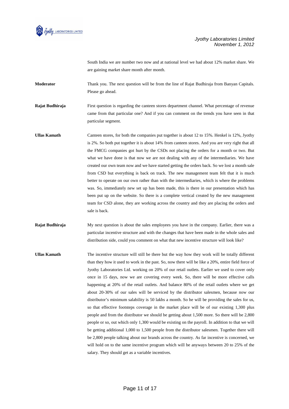

South India we are number two now and at national level we had about 12% market share. We are gaining market share month after month.

**Moderator** Thank you. The next question will be from the line of Rajat Budhiraja from Banyan Capitals. Please go ahead.

**Rajat Budhiraja** First question is regarding the canteen stores department channel. What percentage of revenue came from that particular one? And if you can comment on the trends you have seen in that particular segment.

- Ullas Kamath Canteen stores, for both the companies put together is about 12 to 15%. Henkel is 12%, Jyothy is 2%. So both put together it is about 14% from canteen stores. And you are very right that all the FMCG companies got hurt by the CSDs not placing the orders for a month or two. But what we have done is that now we are not dealing with any of the intermediaries. We have created our own team now and we have started getting the orders back. So we lost a month sale from CSD but everything is back on track. The new management team felt that it is much better to operate on our own rather than with the intermediaries, which is where the problems was. So, immediately new set up has been made, this is there in our presentation which has been put up on the website. So there is a complete vertical created by the new management team for CSD alone, they are working across the country and they are placing the orders and sale is back.
- **Rajat Budhiraja** My next question is about the sales employees you have in the company. Earlier, there was a particular incentive structure and with the changes that have been made in the whole sales and distribution side, could you comment on what that new incentive structure will look like?
- **Ullas Kamath** The incentive structure will still be there but the way how they work will be totally different than they how it used to work in the past. So, now there will be like a 20%, entire field force of Jyothy Laboratories Ltd. working on 20% of our retail outlets. Earlier we used to cover only once in 15 days, now we are covering every week. So, there will be more effective calls happening at 20% of the retail outlets. And balance 80% of the retail outlets where we get about 20-30% of our sales will be serviced by the distributor salesmen, because now our distributor's minimum salability is 50 lakhs a month. So he will be providing the sales for us, so that effective footsteps coverage in the market place will be of our existing 1,300 plus people and from the distributor we should be getting about 1,500 more. So there will be 2,800 people or so, out which only 1,300 would be existing on the payroll. In addition to that we will be getting additional 1,000 to 1,500 people from the distributor salesmen. Together there will be 2,800 people talking about our brands across the country. As far incentive is concerned, we will hold on to the same incentive program which will be anyways between 20 to 25% of the salary. They should get as a variable incentives.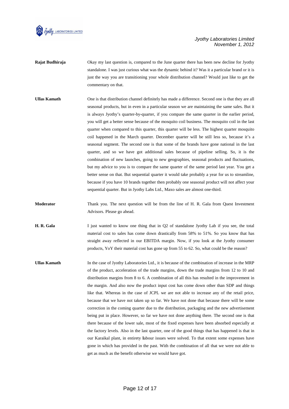

- **Rajat Budhiraja** Okay my last question is, compared to the June quarter there has been new decline for Jyothy standalone. I was just curious what was the dynamic behind it? Was it a particular brand or it is just the way you are transitioning your whole distribution channel? Would just like to get the commentary on that.
- **Ullas Kamath** One is that distribution channel definitely has made a difference. Second one is that they are all seasonal products, but in even in a particular season we are maintaining the same sales. But it is always Jyothy's quarter-by-quarter, if you compare the same quarter in the earlier period, you will get a better sense because of the mosquito coil business. The mosquito coil in the last quarter when compared to this quarter, this quarter will be less. The highest quarter mosquito coil happened in the March quarter. December quarter will be still less so, because it's a seasonal segment. The second one is that some of the brands have gone national in the last quarter, and so we have got additional sales because of pipeline selling. So, it is the combination of new launches, going to new geographies, seasonal products and fluctuations, but my advice to you is to compare the same quarter of the same period last year. You get a better sense on that. But sequential quarter it would take probably a year for us to streamline, because if you have 10 brands together then probably one seasonal product will not affect your sequential quarter. But in Jyothy Labs Ltd., Maxo sales are almost one-third.
- **Moderator** Thank you. The next question will be from the line of H. R. Gala from Quest Investment Advisors. Please go ahead.
- **H. R. Gala** I just wanted to know one thing that in Q2 of standalone Jyothy Lab if you see, the total material cost to sales has come down drastically from 58% to 51%. So you know that has straight away reflected in our EBITDA margin. Now, if you look at the Jyothy consumer products, YoY their material cost has gone up from 55 to 62. So, what could be the reason?
- **Ullas Kamath** In the case of Jyothy Laboratories Ltd., it is because of the combination of increase in the MRP of the product, acceleration of the trade margins, down the trade margins from 12 to 10 and distribution margins from 8 to 6. A combination of all this has resulted in the improvement in the margin. And also now the product input cost has come down other than SDP and things like that. Whereas in the case of JCPL we are not able to increase any of the retail price, because that we have not taken up so far. We have not done that because there will be some correction in the coming quarter due to the distribution, packaging and the new advertisement being put in place. However, so far we have not done anything there. The second one is that there because of the lower sale, most of the fixed expenses have been absorbed especially at the factory levels. Also in the last quarter, one of the good things that has happened is that in our Karaikal plant, in entirety **l**abour issues were solved. To that extent some expenses have gone in which has provided in the past. With the combination of all that we were not able to get as much as the benefit otherwise we would have got.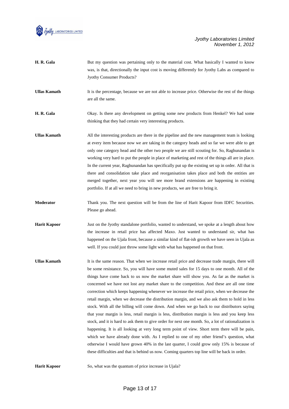

| H. R. Gala          | But my question was pertaining only to the material cost. What basically I wanted to know<br>was, is that, directionally the input cost is moving differently for Jyothy Labs as compared to<br>Jyothy Consumer Products?                                                                                                                                                                                                                                                                                                                                                                                                                                                                                                                                                               |
|---------------------|-----------------------------------------------------------------------------------------------------------------------------------------------------------------------------------------------------------------------------------------------------------------------------------------------------------------------------------------------------------------------------------------------------------------------------------------------------------------------------------------------------------------------------------------------------------------------------------------------------------------------------------------------------------------------------------------------------------------------------------------------------------------------------------------|
| <b>Ullas Kamath</b> | It is the percentage, because we are not able to increase price. Otherwise the rest of the things<br>are all the same.                                                                                                                                                                                                                                                                                                                                                                                                                                                                                                                                                                                                                                                                  |
| H. R. Gala          | Okay. Is there any development on getting some new products from Henkel? We had some<br>thinking that they had certain very interesting products.                                                                                                                                                                                                                                                                                                                                                                                                                                                                                                                                                                                                                                       |
| <b>Ullas Kamath</b> | All the interesting products are there in the pipeline and the new management team is looking<br>at every item because now we are taking in the category heads and so far we were able to get<br>only one category head and the other two people we are still scouting for. So, Raghunandan is<br>working very hard to put the people in place of marketing and rest of the things all are in place.<br>In the current year, Raghunandan has specifically put up the existing set up in order. All that is<br>there and consolidation take place and reorganisation takes place and both the entities are<br>merged together, next year you will see more brand extensions are happening in existing<br>portfolio. If at all we need to bring in new products, we are free to bring it. |
| Moderator           | Thank you. The next question will be from the line of Harit Kapoor from IDFC Securities.<br>Please go ahead.                                                                                                                                                                                                                                                                                                                                                                                                                                                                                                                                                                                                                                                                            |
| <b>Harit Kapoor</b> | Just on the Jyothy standalone portfolio, wanted to understand, we spoke at a length about how<br>the increase in retail price has affected Maxo. Just wanted to understand sir, what has<br>happened on the Ujala front, because a similar kind of flat-ish growth we have seen in Ujala as<br>well. If you could just throw some light with what has happened on that front.                                                                                                                                                                                                                                                                                                                                                                                                           |

**Ullas Kamath** It is the same reason. That when we increase retail price and decrease trade margin, there will be some resistance. So, you will have some muted sales for 15 days to one month. All of the things have come back to us now the market share will show you. As far as the market is concerned we have not lost any market share to the competition. And these are all one time correction which keeps happening whenever we increase the retail price, when we decrease the retail margin, when we decrease the distribution margin, and we also ask them to hold in less stock. With all the billing will come down. And when we go back to our distributors saying that your margin is less, retail margin is less, distribution margin is less and you keep less stock, and it is hard to ask them to give order for next one month. So, a lot of rationalization is happening. It is all looking at very long term point of view. Short term there will be pain, which we have already done with. As I replied to one of my other friend's question, what otherwise I would have grown 40% in the last quarter, I could grow only 15% is because of these difficulties and that is behind us now. Coming quarters top line will be back in order.

**Harit Kapoor** So, what was the quantum of price increase in Ujala?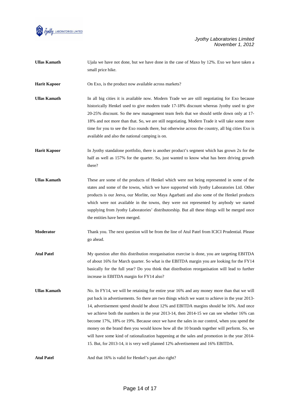

| <b>Ullas Kamath</b> | Ujala we have not done, but we have done in the case of Maxo by 12%. Exo we have taken a<br>small price hike.                                                                                                                                                                                                                                                                                                                                                                                                                                                                                                                                                                                                                                                     |
|---------------------|-------------------------------------------------------------------------------------------------------------------------------------------------------------------------------------------------------------------------------------------------------------------------------------------------------------------------------------------------------------------------------------------------------------------------------------------------------------------------------------------------------------------------------------------------------------------------------------------------------------------------------------------------------------------------------------------------------------------------------------------------------------------|
| <b>Harit Kapoor</b> | On Exo, is the product now available across markets?                                                                                                                                                                                                                                                                                                                                                                                                                                                                                                                                                                                                                                                                                                              |
| <b>Ullas Kamath</b> | In all big cities it is available now. Modern Trade we are still negotiating for Exo because<br>historically Henkel used to give modern trade 17-18% discount whereas Jyothy used to give<br>20-25% discount. So the new management team feels that we should settle down only at 17-<br>18% and not more than that. So, we are still negotiating. Modern Trade it will take some more<br>time for you to see the Exo rounds there, but otherwise across the country, all big cities Exo is<br>available and also the national camping is on.                                                                                                                                                                                                                     |
| <b>Harit Kapoor</b> | In Jyothy standalone portfolio, there is another product's segment which has grown 2x for the<br>half as well as 157% for the quarter. So, just wanted to know what has been driving growth<br>there?                                                                                                                                                                                                                                                                                                                                                                                                                                                                                                                                                             |
| <b>Ullas Kamath</b> | These are some of the products of Henkel which were not being represented in some of the<br>states and some of the towns, which we have supported with Jyothy Laboratories Ltd. Other<br>products is our Jeeva, our Morlite, our Maya Agarbatti and also some of the Henkel products<br>which were not available in the towns, they were not represented by anybody we started<br>supplying from Jyothy Laboratories' distributorship. But all these things will be merged once<br>the entities have been merged.                                                                                                                                                                                                                                                 |
| Moderator           | Thank you. The next question will be from the line of Atul Patel from ICICI Prudential. Please<br>go ahead.                                                                                                                                                                                                                                                                                                                                                                                                                                                                                                                                                                                                                                                       |
| <b>Atul Patel</b>   | My question after this distribution reorganisation exercise is done, you are targeting EBITDA<br>of about 16% for March quarter. So what is the EBITDA margin you are looking for the FY14<br>basically for the full year? Do you think that distribution reorganisation will lead to further<br>increase in EBITDA margin for FY14 also?                                                                                                                                                                                                                                                                                                                                                                                                                         |
| <b>Ullas Kamath</b> | No. In FY14, we will be retaining for entire year 16% and any money more than that we will<br>put back in advertisements. So there are two things which we want to achieve in the year 2013-<br>14, advertisement spend should be about 12% and EBITDA margins should be 16%. And once<br>we achieve both the numbers in the year 2013-14, then 2014-15 we can see whether 16% can<br>become 17%, 18% or 19%. Because once we have the sales in our control, when you spend the<br>money on the brand then you would know how all the 10 brands together will perform. So, we<br>will have some kind of rationalization happening at the sales and promotion in the year 2014-<br>15. But, for 2013-14, it is very well planned 12% advertisement and 16% EBITDA. |
| <b>Atul Patel</b>   | And that 16% is valid for Henkel's part also right?                                                                                                                                                                                                                                                                                                                                                                                                                                                                                                                                                                                                                                                                                                               |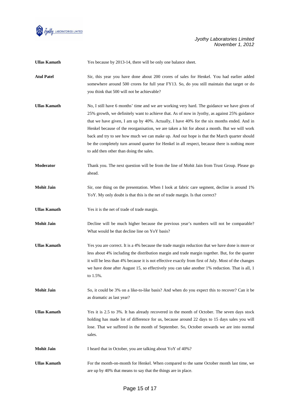

| <b>Ullas Kamath</b> | Yes because by 2013-14, there will be only one balance sheet.                                                                                                                                                                                                                                                                                                                                                                                                                                                                                                                                                                       |
|---------------------|-------------------------------------------------------------------------------------------------------------------------------------------------------------------------------------------------------------------------------------------------------------------------------------------------------------------------------------------------------------------------------------------------------------------------------------------------------------------------------------------------------------------------------------------------------------------------------------------------------------------------------------|
| <b>Atul Patel</b>   | Sir, this year you have done about 200 crores of sales for Henkel. You had earlier added<br>somewhere around 500 crores for full year FY13. So, do you still maintain that target or do<br>you think that 500 will not be achievable?                                                                                                                                                                                                                                                                                                                                                                                               |
| <b>Ullas Kamath</b> | No, I still have 6 months' time and we are working very hard. The guidance we have given of<br>25% growth, we definitely want to achieve that. As of now in Jyothy, as against 25% guidance<br>that we have given, I am up by 40%. Actually, I have 40% for the six months ended. And in<br>Henkel because of the reorganisation, we are taken a hit for about a month. But we will work<br>back and try to see how much we can make up. And our hope is that the March quarter should<br>be the completely turn around quarter for Henkel in all respect, because there is nothing more<br>to add then other than doing the sales. |
| Moderator           | Thank you. The next question will be from the line of Mohit Jain from Trust Group. Please go<br>ahead.                                                                                                                                                                                                                                                                                                                                                                                                                                                                                                                              |
| <b>Mohit Jain</b>   | Sir, one thing on the presentation. When I look at fabric care segment, decline is around 1%<br>YoY. My only doubt is that this is the net of trade margin. Is that correct?                                                                                                                                                                                                                                                                                                                                                                                                                                                        |
| <b>Ullas Kamath</b> | Yes it is the net of trade of trade margin.                                                                                                                                                                                                                                                                                                                                                                                                                                                                                                                                                                                         |
| <b>Mohit Jain</b>   | Decline will be much higher because the previous year's numbers will not be comparable?<br>What would be that decline line on YoY basis?                                                                                                                                                                                                                                                                                                                                                                                                                                                                                            |
| <b>Ullas Kamath</b> | Yes you are correct. It is a 4% because the trade margin reduction that we have done is more or<br>less about 4% including the distribution margin and trade margin together. But, for the quarter<br>it will be less than 4% because it is not effective exactly from first of July. Most of the changes<br>we have done after August 15, so effectively you can take another 1% reduction. That is all, 1<br>to 1.5%.                                                                                                                                                                                                             |
| <b>Mohit Jain</b>   | So, it could be 3% on a like-to-like basis? And when do you expect this to recover? Can it be<br>as dramatic as last year?                                                                                                                                                                                                                                                                                                                                                                                                                                                                                                          |
| <b>Ullas Kamath</b> | Yes it is 2.5 to 3%. It has already recovered in the month of October. The seven days stock<br>holding has made lot of difference for us, because around 22 days to 15 days sales you will<br>lose. That we suffered in the month of September. So, October onwards we are into normal<br>sales.                                                                                                                                                                                                                                                                                                                                    |
| <b>Mohit Jain</b>   | I heard that in October, you are talking about YoY of 40%?                                                                                                                                                                                                                                                                                                                                                                                                                                                                                                                                                                          |
| <b>Ullas Kamath</b> | For the month-on-month for Henkel. When compared to the same October month last time, we<br>are up by 40% that means to say that the things are in place.                                                                                                                                                                                                                                                                                                                                                                                                                                                                           |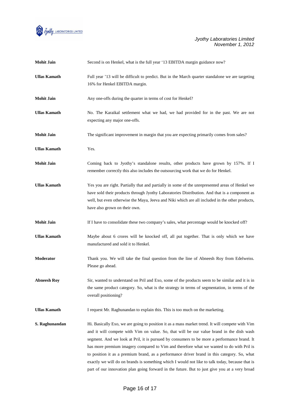

| <b>Mohit Jain</b>   | Second is on Henkel, what is the full year '13 EBITDA margin guidance now?                                                                                                                                                                                                                                                                                                                                                                                                                                                                                                                                                                                                                |
|---------------------|-------------------------------------------------------------------------------------------------------------------------------------------------------------------------------------------------------------------------------------------------------------------------------------------------------------------------------------------------------------------------------------------------------------------------------------------------------------------------------------------------------------------------------------------------------------------------------------------------------------------------------------------------------------------------------------------|
| <b>Ullas Kamath</b> | Full year '13 will be difficult to predict. But in the March quarter standalone we are targeting<br>16% for Henkel EBITDA margin.                                                                                                                                                                                                                                                                                                                                                                                                                                                                                                                                                         |
| <b>Mohit Jain</b>   | Any one-offs during the quarter in terms of cost for Henkel?                                                                                                                                                                                                                                                                                                                                                                                                                                                                                                                                                                                                                              |
| <b>Ullas Kamath</b> | No. The Karaikal settlement what we had, we had provided for in the past. We are not<br>expecting any major one-offs.                                                                                                                                                                                                                                                                                                                                                                                                                                                                                                                                                                     |
| <b>Mohit Jain</b>   | The significant improvement in margin that you are expecting primarily comes from sales?                                                                                                                                                                                                                                                                                                                                                                                                                                                                                                                                                                                                  |
| <b>Ullas Kamath</b> | Yes.                                                                                                                                                                                                                                                                                                                                                                                                                                                                                                                                                                                                                                                                                      |
| <b>Mohit Jain</b>   | Coming back to Jyothy's standalone results, other products have grown by 157%. If I<br>remember correctly this also includes the outsourcing work that we do for Henkel.                                                                                                                                                                                                                                                                                                                                                                                                                                                                                                                  |
| <b>Ullas Kamath</b> | Yes you are right. Partially that and partially in some of the unrepresented areas of Henkel we<br>have sold their products through Jyothy Laboratories Distribution. And that is a component as<br>well, but even otherwise the Maya, Jeeva and Niki which are all included in the other products,<br>have also grown on their own.                                                                                                                                                                                                                                                                                                                                                      |
| <b>Mohit Jain</b>   | If I have to consolidate these two company's sales, what percentage would be knocked off?                                                                                                                                                                                                                                                                                                                                                                                                                                                                                                                                                                                                 |
| <b>Ullas Kamath</b> | Maybe about 6 crores will be knocked off, all put together. That is only which we have<br>manufactured and sold it to Henkel.                                                                                                                                                                                                                                                                                                                                                                                                                                                                                                                                                             |
| <b>Moderator</b>    | Thank you. We will take the final question from the line of Abneesh Roy from Edelweiss.<br>Please go ahead.                                                                                                                                                                                                                                                                                                                                                                                                                                                                                                                                                                               |
| <b>Abneesh Roy</b>  | Sir, wanted to understand on Pril and Exo, some of the products seem to be similar and it is in<br>the same product category. So, what is the strategy in terms of segmentation, in terms of the<br>overall positioning?                                                                                                                                                                                                                                                                                                                                                                                                                                                                  |
| <b>Ullas Kamath</b> | I request Mr. Raghunandan to explain this. This is too much on the marketing.                                                                                                                                                                                                                                                                                                                                                                                                                                                                                                                                                                                                             |
| S. Raghunandan      | Hi. Basically Exo, we are going to position it as a mass market trend. It will compete with Vim<br>and it will compete with Vim on value. So, that will be our value brand in the dish wash<br>segment. And we look at Pril, it is pursued by consumers to be more a performance brand. It<br>has more premium imagery compared to Vim and therefore what we wanted to do with Pril is<br>to position it as a premium brand, as a performance driver brand in this category. So, what<br>exactly we will do on brands is something which I would not like to talk today, because that is<br>part of our innovation plan going forward in the future. But to just give you at a very broad |